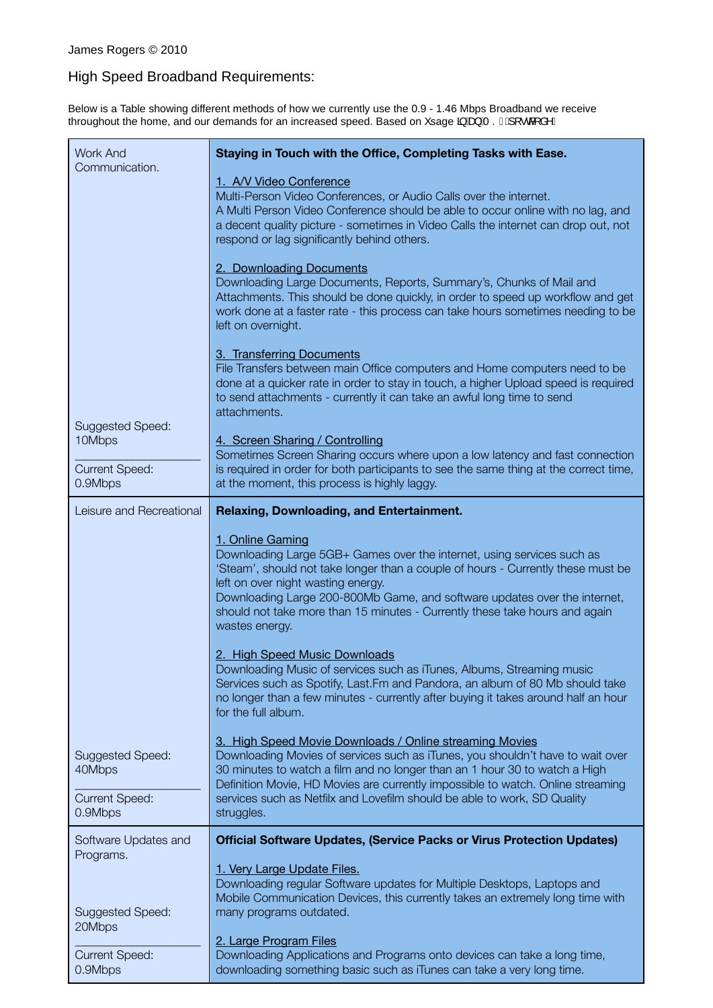## High Speed Broadband Requirements:

Below is a Table showing different methods of how we currently use the 0.9 - 1.46 Mbps Broadband we receive throughout the home, and our demands for an increased speed. Based on Y sage  $\tilde{a}$  A  $\tilde{a}$  A Si  $\AA$  [  $\cdot$  &  $\AA$   $\tilde{a}$   $\wedge$  E

| <b>Work And</b>                                                | Staying in Touch with the Office, Completing Tasks with Ease.                                                                                                                                                                                                                                                                                                                                        |
|----------------------------------------------------------------|------------------------------------------------------------------------------------------------------------------------------------------------------------------------------------------------------------------------------------------------------------------------------------------------------------------------------------------------------------------------------------------------------|
| Communication.                                                 | 1. A/V Video Conference<br>Multi-Person Video Conferences, or Audio Calls over the internet.<br>A Multi Person Video Conference should be able to occur online with no lag, and<br>a decent quality picture - sometimes in Video Calls the internet can drop out, not<br>respond or lag significantly behind others.                                                                                 |
|                                                                | 2. Downloading Documents<br>Downloading Large Documents, Reports, Summary's, Chunks of Mail and<br>Attachments. This should be done quickly, in order to speed up workflow and get<br>work done at a faster rate - this process can take hours sometimes needing to be<br>left on overnight.                                                                                                         |
| Suggested Speed:                                               | 3. Transferring Documents<br>File Transfers between main Office computers and Home computers need to be<br>done at a quicker rate in order to stay in touch, a higher Upload speed is required<br>to send attachments - currently it can take an awful long time to send<br>attachments.                                                                                                             |
| 10Mbps<br><b>Current Speed:</b><br>0.9Mbps                     | 4. Screen Sharing / Controlling<br>Sometimes Screen Sharing occurs where upon a low latency and fast connection<br>is required in order for both participants to see the same thing at the correct time,<br>at the moment, this process is highly laggy.                                                                                                                                             |
| Leisure and Recreational                                       | Relaxing, Downloading, and Entertainment.                                                                                                                                                                                                                                                                                                                                                            |
|                                                                | 1. Online Gaming<br>Downloading Large 5GB+ Games over the internet, using services such as<br>'Steam', should not take longer than a couple of hours - Currently these must be<br>left on over night wasting energy.<br>Downloading Large 200-800Mb Game, and software updates over the internet,<br>should not take more than 15 minutes - Currently these take hours and again<br>wastes energy.   |
|                                                                | 2. High Speed Music Downloads<br>Downloading Music of services such as iTunes, Albums, Streaming music<br>Services such as Spotify, Last. Fm and Pandora, an album of 80 Mb should take<br>no longer than a few minutes - currently after buying it takes around half an hour<br>for the full album.                                                                                                 |
| Suggested Speed:<br>40Mbps<br><b>Current Speed:</b><br>0.9Mbps | 3. High Speed Movie Downloads / Online streaming Movies<br>Downloading Movies of services such as iTunes, you shouldn't have to wait over<br>30 minutes to watch a film and no longer than an 1 hour 30 to watch a High<br>Definition Movie, HD Movies are currently impossible to watch. Online streaming<br>services such as Netfilx and Lovefilm should be able to work, SD Quality<br>struggles. |
| Software Updates and                                           | <b>Official Software Updates, (Service Packs or Virus Protection Updates)</b>                                                                                                                                                                                                                                                                                                                        |
| Programs.<br><b>Suggested Speed:</b><br>20Mbps                 | 1. Very Large Update Files.<br>Downloading regular Software updates for Multiple Desktops, Laptops and<br>Mobile Communication Devices, this currently takes an extremely long time with<br>many programs outdated.                                                                                                                                                                                  |
| <b>Current Speed:</b><br>0.9Mbps                               | 2. Large Program Files<br>Downloading Applications and Programs onto devices can take a long time,<br>downloading something basic such as iTunes can take a very long time.                                                                                                                                                                                                                          |